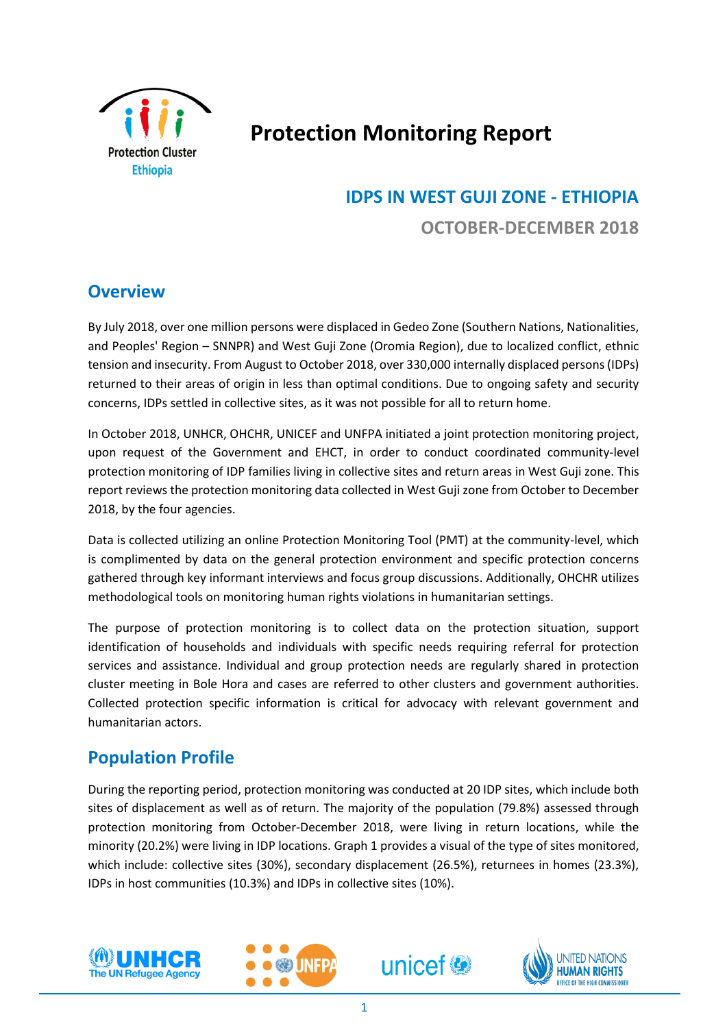

# **Protection Monitoring Report**

# **IDPS IN WEST GUJI ZONE - ETHIOPIA OCTOBER-DECEMBER 2018**

### **Overview**

By July 2018, over one million persons were displaced in Gedeo Zone (Southern Nations, Nationalities, and Peoples' Region – SNNPR) and West Guji Zone (Oromia Region), due to localized conflict, ethnic tension and insecurity. From August to October 2018, over 330,000 internally displaced persons (IDPs) returned to their areas of origin in less than optimal conditions. Due to ongoing safety and security concerns, IDPs settled in collective sites, as it was not possible for all to return home.

In October 2018, UNHCR, OHCHR, UNICEF and UNFPA initiated a joint protection monitoring project, upon request of the Government and EHCT, in order to conduct coordinated community-level protection monitoring of IDP families living in collective sites and return areas in West Guji zone. This report reviews the protection monitoring data collected in West Guji zone from October to December 2018, by the four agencies.

Data is collected utilizing an online Protection Monitoring Tool (PMT) at the community-level, which is complimented by data on the general protection environment and specific protection concerns gathered through key informant interviews and focus group discussions. Additionally, OHCHR utilizes methodological tools on monitoring human rights violations in humanitarian settings.

The purpose of protection monitoring is to collect data on the protection situation, support identification of households and individuals with specific needs requiring referral for protection services and assistance. Individual and group protection needs are regularly shared in protection cluster meeting in Bole Hora and cases are referred to other clusters and government authorities. Collected protection specific information is critical for advocacy with relevant government and humanitarian actors.

### **Population Profile**

During the reporting period, protection monitoring was conducted at 20 IDP sites, which include both sites of displacement as well as of return. The majority of the population (79.8%) assessed through protection monitoring from October-December 2018, were living in return locations, while the minority (20.2%) were living in IDP locations. Graph 1 provides a visual of the type of sites monitored, which include: collective sites (30%), secondary displacement (26.5%), returnees in homes (23.3%), IDPs in host communities (10.3%) and IDPs in collective sites (10%).







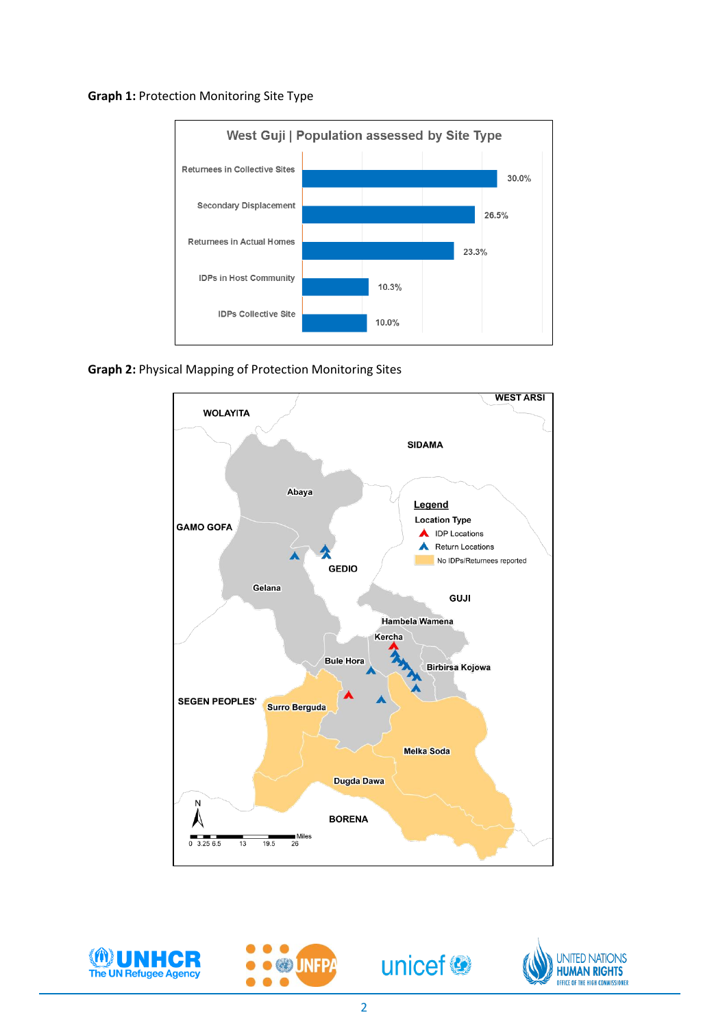#### **Graph 1:** Protection Monitoring Site Type



**Graph 2:** Physical Mapping of Protection Monitoring Sites









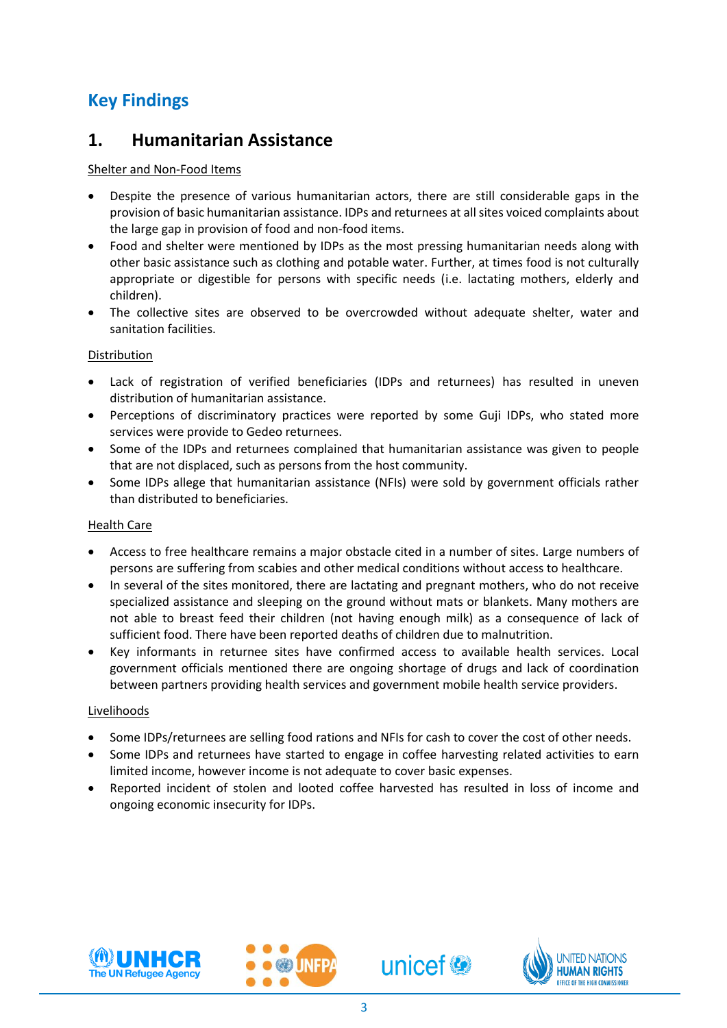## **Key Findings**

### **1. Humanitarian Assistance**

#### Shelter and Non-Food Items

- Despite the presence of various humanitarian actors, there are still considerable gaps in the provision of basic humanitarian assistance. IDPs and returnees at all sites voiced complaints about the large gap in provision of food and non-food items.
- Food and shelter were mentioned by IDPs as the most pressing humanitarian needs along with other basic assistance such as clothing and potable water. Further, at times food is not culturally appropriate or digestible for persons with specific needs (i.e. lactating mothers, elderly and children).
- The collective sites are observed to be overcrowded without adequate shelter, water and sanitation facilities.

#### Distribution

- Lack of registration of verified beneficiaries (IDPs and returnees) has resulted in uneven distribution of humanitarian assistance.
- Perceptions of discriminatory practices were reported by some Guji IDPs, who stated more services were provide to Gedeo returnees.
- Some of the IDPs and returnees complained that humanitarian assistance was given to people that are not displaced, such as persons from the host community.
- Some IDPs allege that humanitarian assistance (NFIs) were sold by government officials rather than distributed to beneficiaries.

#### Health Care

- Access to free healthcare remains a major obstacle cited in a number of sites. Large numbers of persons are suffering from scabies and other medical conditions without access to healthcare.
- In several of the sites monitored, there are lactating and pregnant mothers, who do not receive specialized assistance and sleeping on the ground without mats or blankets. Many mothers are not able to breast feed their children (not having enough milk) as a consequence of lack of sufficient food. There have been reported deaths of children due to malnutrition.
- Key informants in returnee sites have confirmed access to available health services. Local government officials mentioned there are ongoing shortage of drugs and lack of coordination between partners providing health services and government mobile health service providers.

#### Livelihoods

- Some IDPs/returnees are selling food rations and NFIs for cash to cover the cost of other needs.
- Some IDPs and returnees have started to engage in coffee harvesting related activities to earn limited income, however income is not adequate to cover basic expenses.
- Reported incident of stolen and looted coffee harvested has resulted in loss of income and ongoing economic insecurity for IDPs.





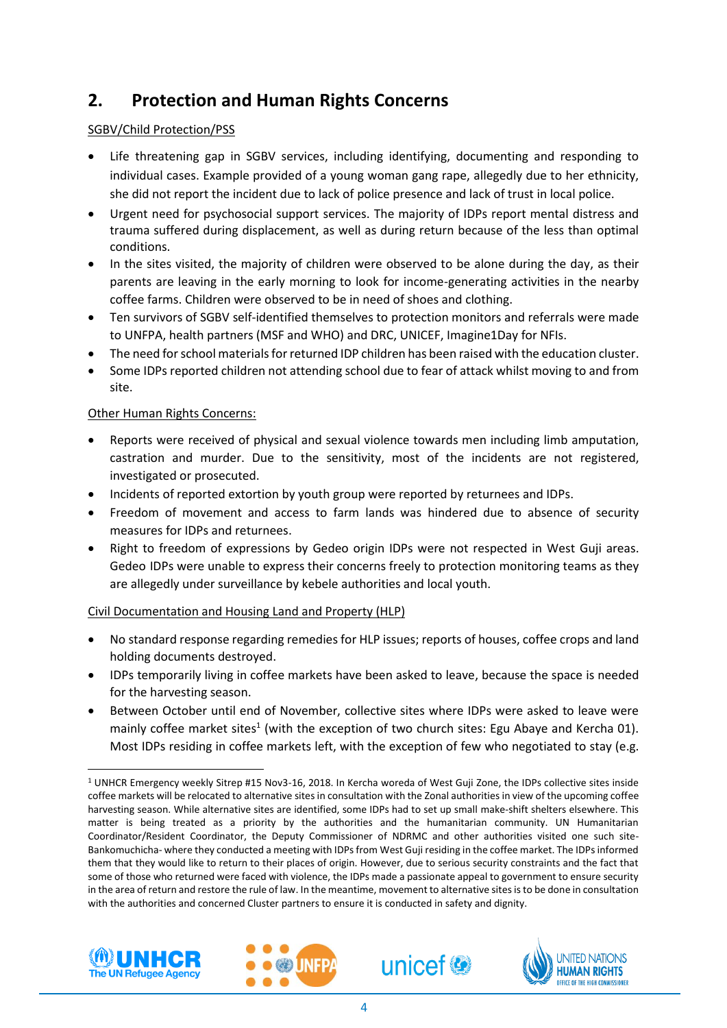## **2. Protection and Human Rights Concerns**

#### SGBV/Child Protection/PSS

- Life threatening gap in SGBV services, including identifying, documenting and responding to individual cases. Example provided of a young woman gang rape, allegedly due to her ethnicity, she did not report the incident due to lack of police presence and lack of trust in local police.
- Urgent need for psychosocial support services. The majority of IDPs report mental distress and trauma suffered during displacement, as well as during return because of the less than optimal conditions.
- In the sites visited, the majority of children were observed to be alone during the day, as their parents are leaving in the early morning to look for income-generating activities in the nearby coffee farms. Children were observed to be in need of shoes and clothing.
- Ten survivors of SGBV self-identified themselves to protection monitors and referrals were made to UNFPA, health partners (MSF and WHO) and DRC, UNICEF, Imagine1Day for NFIs.
- The need for school materials for returned IDP children has been raised with the education cluster.
- Some IDPs reported children not attending school due to fear of attack whilst moving to and from site.

#### Other Human Rights Concerns:

- Reports were received of physical and sexual violence towards men including limb amputation, castration and murder. Due to the sensitivity, most of the incidents are not registered, investigated or prosecuted.
- Incidents of reported extortion by youth group were reported by returnees and IDPs.
- Freedom of movement and access to farm lands was hindered due to absence of security measures for IDPs and returnees.
- Right to freedom of expressions by Gedeo origin IDPs were not respected in West Guji areas. Gedeo IDPs were unable to express their concerns freely to protection monitoring teams as they are allegedly under surveillance by kebele authorities and local youth.

#### Civil Documentation and Housing Land and Property (HLP)

- No standard response regarding remedies for HLP issues; reports of houses, coffee crops and land holding documents destroyed.
- IDPs temporarily living in coffee markets have been asked to leave, because the space is needed for the harvesting season.
- Between October until end of November, collective sites where IDPs were asked to leave were mainly coffee market sites<sup>1</sup> (with the exception of two church sites: Egu Abaye and Kercha 01). Most IDPs residing in coffee markets left, with the exception of few who negotiated to stay (e.g.

<sup>1</sup> UNHCR Emergency weekly Sitrep #15 Nov3-16, 2018. In Kercha woreda of West Guji Zone, the IDPs collective sites inside coffee markets will be relocated to alternative sites in consultation with the Zonal authorities in view of the upcoming coffee harvesting season. While alternative sites are identified, some IDPs had to set up small make-shift shelters elsewhere. This matter is being treated as a priority by the authorities and the humanitarian community. UN Humanitarian Coordinator/Resident Coordinator, the Deputy Commissioner of NDRMC and other authorities visited one such site-Bankomuchicha- where they conducted a meeting with IDPs from West Guji residing in the coffee market. The IDPs informed them that they would like to return to their places of origin. However, due to serious security constraints and the fact that some of those who returned were faced with violence, the IDPs made a passionate appeal to government to ensure security in the area of return and restore the rule of law. In the meantime, movement to alternative sites is to be done in consultation with the authorities and concerned Cluster partners to ensure it is conducted in safety and dignity.



 $\overline{a}$ 





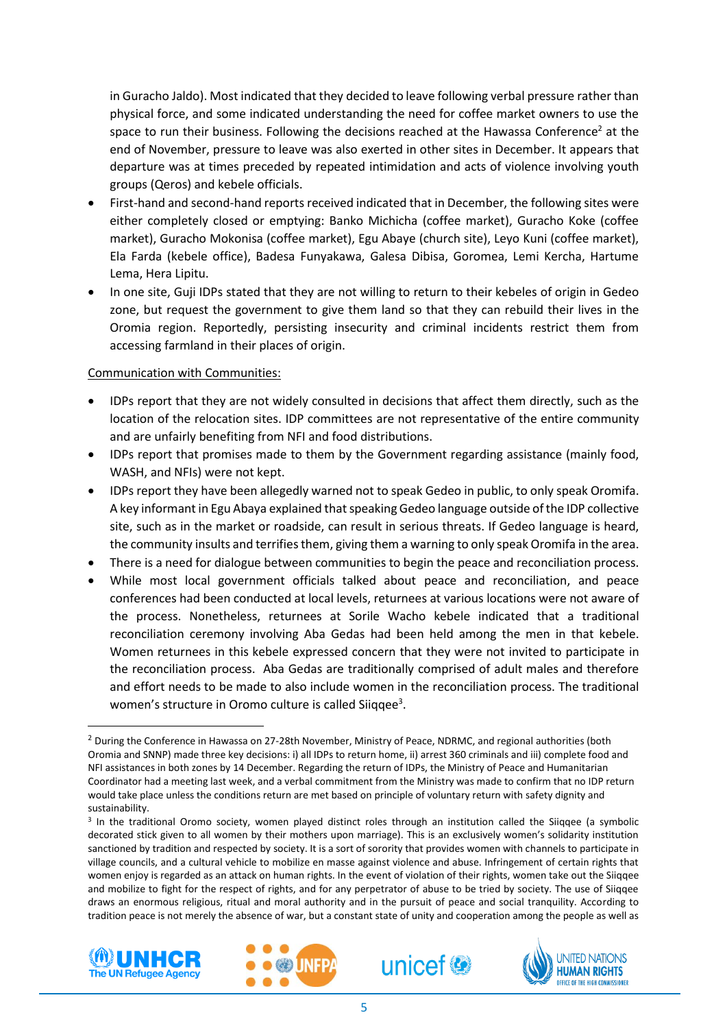in Guracho Jaldo). Most indicated that they decided to leave following verbal pressure rather than physical force, and some indicated understanding the need for coffee market owners to use the space to run their business. Following the decisions reached at the Hawassa Conference<sup>2</sup> at the end of November, pressure to leave was also exerted in other sites in December. It appears that departure was at times preceded by repeated intimidation and acts of violence involving youth groups (Qeros) and kebele officials.

- First-hand and second-hand reports received indicated that in December, the following sites were either completely closed or emptying: Banko Michicha (coffee market), Guracho Koke (coffee market), Guracho Mokonisa (coffee market), Egu Abaye (church site), Leyo Kuni (coffee market), Ela Farda (kebele office), Badesa Funyakawa, Galesa Dibisa, Goromea, Lemi Kercha, Hartume Lema, Hera Lipitu.
- In one site, Guji IDPs stated that they are not willing to return to their kebeles of origin in Gedeo zone, but request the government to give them land so that they can rebuild their lives in the Oromia region. Reportedly, persisting insecurity and criminal incidents restrict them from accessing farmland in their places of origin.

#### Communication with Communities:

- IDPs report that they are not widely consulted in decisions that affect them directly, such as the location of the relocation sites. IDP committees are not representative of the entire community and are unfairly benefiting from NFI and food distributions.
- IDPs report that promises made to them by the Government regarding assistance (mainly food, WASH, and NFIs) were not kept.
- IDPs report they have been allegedly warned not to speak Gedeo in public, to only speak Oromifa. A key informant in Egu Abaya explained that speaking Gedeo language outside of the IDP collective site, such as in the market or roadside, can result in serious threats. If Gedeo language is heard, the community insults and terrifies them, giving them a warning to only speak Oromifa in the area.
- There is a need for dialogue between communities to begin the peace and reconciliation process.
- While most local government officials talked about peace and reconciliation, and peace conferences had been conducted at local levels, returnees at various locations were not aware of the process. Nonetheless, returnees at Sorile Wacho kebele indicated that a traditional reconciliation ceremony involving Aba Gedas had been held among the men in that kebele. Women returnees in this kebele expressed concern that they were not invited to participate in the reconciliation process. Aba Gedas are traditionally comprised of adult males and therefore and effort needs to be made to also include women in the reconciliation process. The traditional women's structure in Oromo culture is called Siiqqee<sup>3</sup>.

<sup>&</sup>lt;sup>3</sup> In the traditional Oromo society, women played distinct roles through an institution called the Siiqqee (a symbolic decorated stick given to all women by their mothers upon marriage). This is an exclusively women's solidarity institution sanctioned by tradition and respected by society. It is a sort of sorority that provides women with channels to participate in village councils, and a cultural vehicle to mobilize en masse against violence and abuse. Infringement of certain rights that women enjoy is regarded as an attack on human rights. In the event of violation of their rights, women take out the Siiqqee and mobilize to fight for the respect of rights, and for any perpetrator of abuse to be tried by society. The use of Siiqqee draws an enormous religious, ritual and moral authority and in the pursuit of peace and social tranquility. According to tradition peace is not merely the absence of war, but a constant state of unity and cooperation among the people as well as



1







<sup>&</sup>lt;sup>2</sup> During the Conference in Hawassa on 27-28th November, Ministry of Peace, NDRMC, and regional authorities (both Oromia and SNNP) made three key decisions: i) all IDPs to return home, ii) arrest 360 criminals and iii) complete food and NFI assistances in both zones by 14 December. Regarding the return of IDPs, the Ministry of Peace and Humanitarian Coordinator had a meeting last week, and a verbal commitment from the Ministry was made to confirm that no IDP return would take place unless the conditions return are met based on principle of voluntary return with safety dignity and sustainability.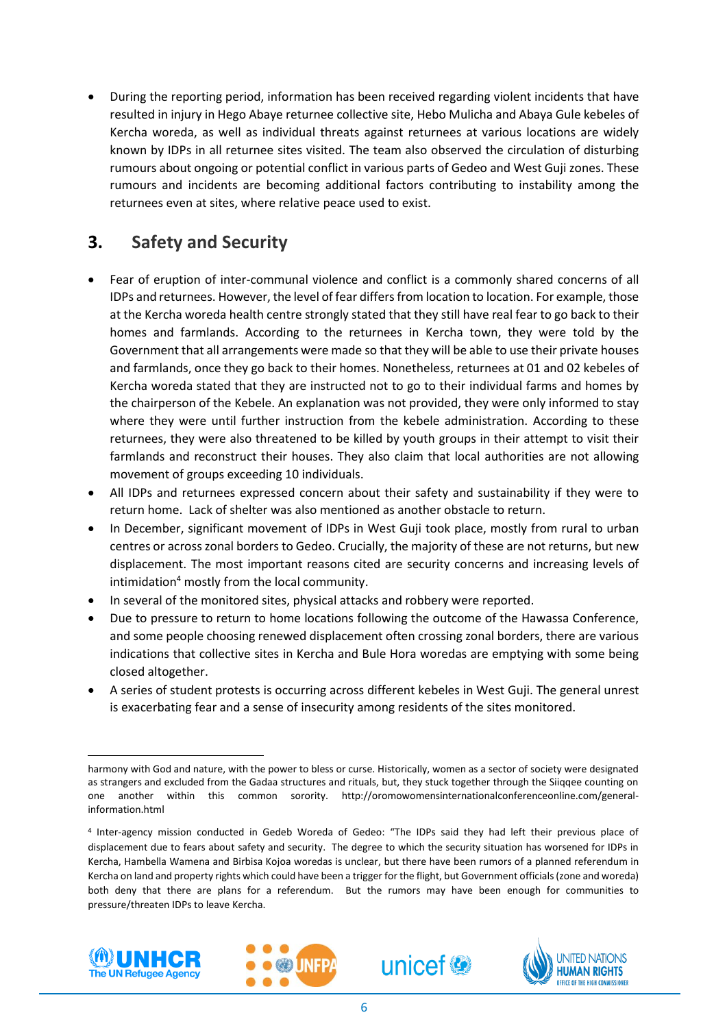During the reporting period, information has been received regarding violent incidents that have resulted in injury in Hego Abaye returnee collective site, Hebo Mulicha and Abaya Gule kebeles of Kercha woreda, as well as individual threats against returnees at various locations are widely known by IDPs in all returnee sites visited. The team also observed the circulation of disturbing rumours about ongoing or potential conflict in various parts of Gedeo and West Guji zones. These rumours and incidents are becoming additional factors contributing to instability among the returnees even at sites, where relative peace used to exist.

## **3. Safety and Security**

- Fear of eruption of inter-communal violence and conflict is a commonly shared concerns of all IDPs and returnees. However, the level of fear differs from location to location. For example, those at the Kercha woreda health centre strongly stated that they still have real fear to go back to their homes and farmlands. According to the returnees in Kercha town, they were told by the Government that all arrangements were made so that they will be able to use their private houses and farmlands, once they go back to their homes. Nonetheless, returnees at 01 and 02 kebeles of Kercha woreda stated that they are instructed not to go to their individual farms and homes by the chairperson of the Kebele. An explanation was not provided, they were only informed to stay where they were until further instruction from the kebele administration. According to these returnees, they were also threatened to be killed by youth groups in their attempt to visit their farmlands and reconstruct their houses. They also claim that local authorities are not allowing movement of groups exceeding 10 individuals.
- All IDPs and returnees expressed concern about their safety and sustainability if they were to return home. Lack of shelter was also mentioned as another obstacle to return.
- In December, significant movement of IDPs in West Guji took place, mostly from rural to urban centres or across zonal borders to Gedeo. Crucially, the majority of these are not returns, but new displacement. The most important reasons cited are security concerns and increasing levels of intimidation<sup>4</sup> mostly from the local community.
- In several of the monitored sites, physical attacks and robbery were reported.
- Due to pressure to return to home locations following the outcome of the Hawassa Conference, and some people choosing renewed displacement often crossing zonal borders, there are various indications that collective sites in Kercha and Bule Hora woredas are emptying with some being closed altogether.
- A series of student protests is occurring across different kebeles in West Guji. The general unrest is exacerbating fear and a sense of insecurity among residents of the sites monitored.

<sup>4</sup> Inter-agency mission conducted in Gedeb Woreda of Gedeo: "The IDPs said they had left their previous place of displacement due to fears about safety and security. The degree to which the security situation has worsened for IDPs in Kercha, Hambella Wamena and Birbisa Kojoa woredas is unclear, but there have been rumors of a planned referendum in Kercha on land and property rights which could have been a trigger for the flight, but Government officials (zone and woreda) both deny that there are plans for a referendum. But the rumors may have been enough for communities to pressure/threaten IDPs to leave Kercha.



1







harmony with God and nature, with the power to bless or curse. Historically, women as a sector of society were designated as strangers and excluded from the Gadaa structures and rituals, but, they stuck together through the Siiqqee counting on one another within this common sorority. http://oromowomensinternationalconferenceonline.com/generalinformation.html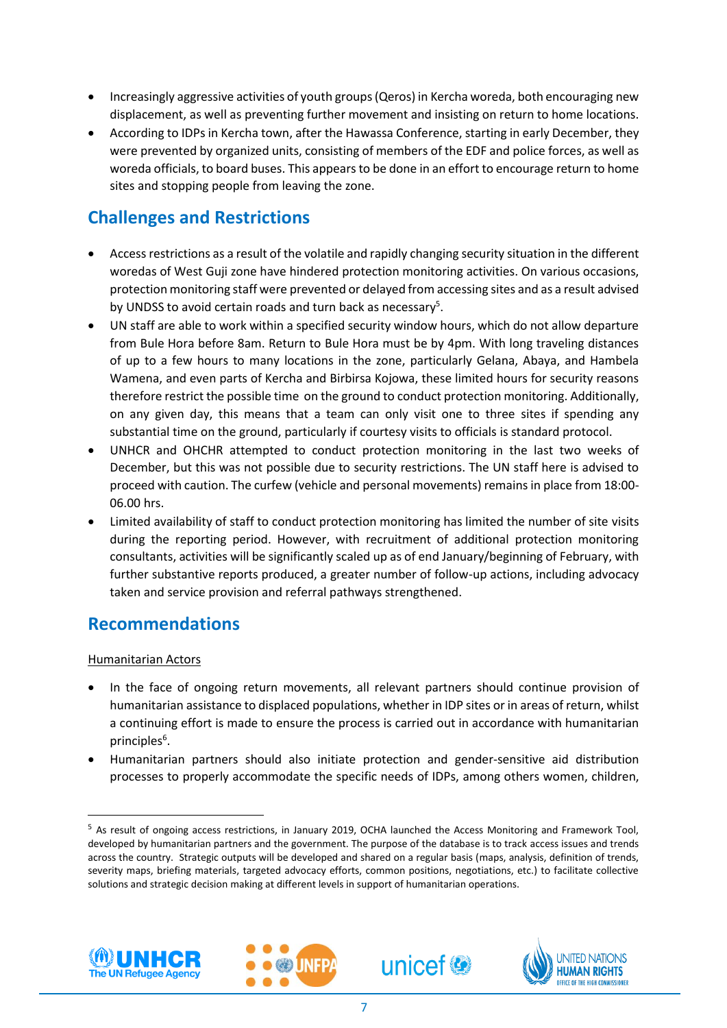- Increasingly aggressive activities of youth groups (Qeros) in Kercha woreda, both encouraging new displacement, as well as preventing further movement and insisting on return to home locations.
- According to IDPs in Kercha town, after the Hawassa Conference, starting in early December, they were prevented by organized units, consisting of members of the EDF and police forces, as well as woreda officials, to board buses. This appears to be done in an effort to encourage return to home sites and stopping people from leaving the zone.

## **Challenges and Restrictions**

- Access restrictions as a result of the volatile and rapidly changing security situation in the different woredas of West Guji zone have hindered protection monitoring activities. On various occasions, protection monitoring staff were prevented or delayed from accessing sites and as a result advised by UNDSS to avoid certain roads and turn back as necessary<sup>5</sup>.
- UN staff are able to work within a specified security window hours, which do not allow departure from Bule Hora before 8am. Return to Bule Hora must be by 4pm. With long traveling distances of up to a few hours to many locations in the zone, particularly Gelana, Abaya, and Hambela Wamena, and even parts of Kercha and Birbirsa Kojowa, these limited hours for security reasons therefore restrict the possible time on the ground to conduct protection monitoring. Additionally, on any given day, this means that a team can only visit one to three sites if spending any substantial time on the ground, particularly if courtesy visits to officials is standard protocol.
- UNHCR and OHCHR attempted to conduct protection monitoring in the last two weeks of December, but this was not possible due to security restrictions. The UN staff here is advised to proceed with caution. The curfew (vehicle and personal movements) remains in place from 18:00- 06.00 hrs.
- Limited availability of staff to conduct protection monitoring has limited the number of site visits during the reporting period. However, with recruitment of additional protection monitoring consultants, activities will be significantly scaled up as of end January/beginning of February, with further substantive reports produced, a greater number of follow-up actions, including advocacy taken and service provision and referral pathways strengthened.

### **Recommendations**

#### Humanitarian Actors

- In the face of ongoing return movements, all relevant partners should continue provision of humanitarian assistance to displaced populations, whether in IDP sites or in areas of return, whilst a continuing effort is made to ensure the process is carried out in accordance with humanitarian principles<sup>6</sup>.
- Humanitarian partners should also initiate protection and gender-sensitive aid distribution processes to properly accommodate the specific needs of IDPs, among others women, children,



1







<sup>5</sup> As result of ongoing access restrictions, in January 2019, OCHA launched the Access Monitoring and Framework Tool, developed by humanitarian partners and the government. The purpose of the database is to track access issues and trends across the country. Strategic outputs will be developed and shared on a regular basis (maps, analysis, definition of trends, severity maps, briefing materials, targeted advocacy efforts, common positions, negotiations, etc.) to facilitate collective solutions and strategic decision making at different levels in support of humanitarian operations.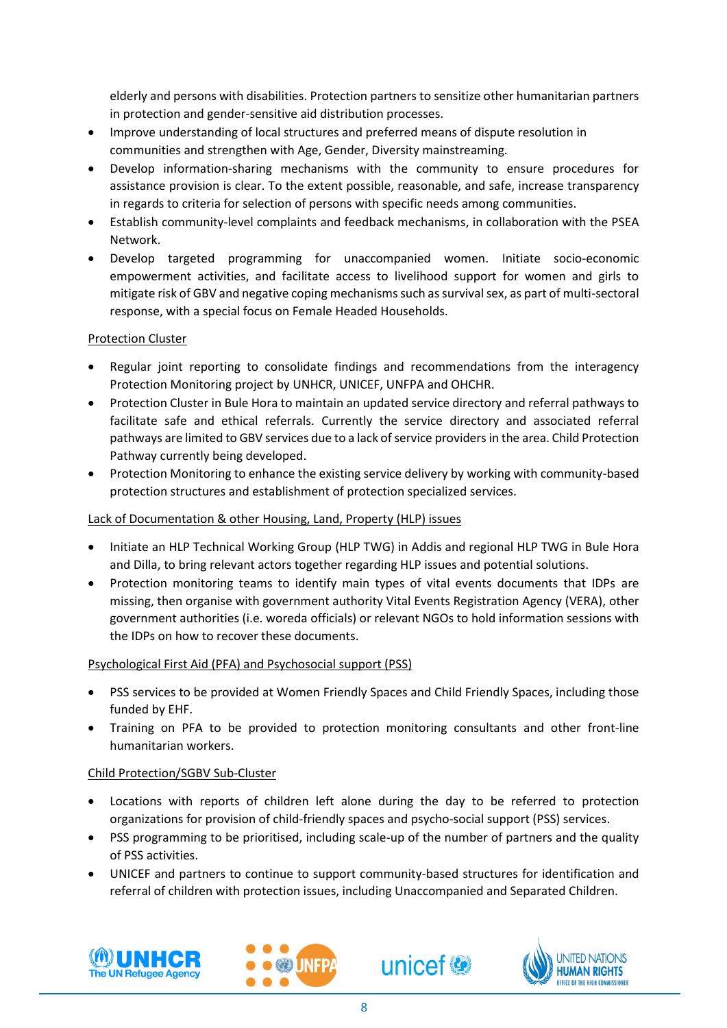elderly and persons with disabilities. Protection partners to sensitize other humanitarian partners in protection and gender-sensitive aid distribution processes.

- Improve understanding of local structures and preferred means of dispute resolution in communities and strengthen with Age, Gender, Diversity mainstreaming.
- Develop information-sharing mechanisms with the community to ensure procedures for assistance provision is clear. To the extent possible, reasonable, and safe, increase transparency in regards to criteria for selection of persons with specific needs among communities.
- Establish community-level complaints and feedback mechanisms, in collaboration with the PSEA Network.
- Develop targeted programming for unaccompanied women. Initiate socio-economic empowerment activities, and facilitate access to livelihood support for women and girls to mitigate risk of GBV and negative coping mechanisms such as survival sex, as part of multi-sectoral response, with a special focus on Female Headed Households.

#### Protection Cluster

- Regular joint reporting to consolidate findings and recommendations from the interagency Protection Monitoring project by UNHCR, UNICEF, UNFPA and OHCHR.
- Protection Cluster in Bule Hora to maintain an updated service directory and referral pathways to facilitate safe and ethical referrals. Currently the service directory and associated referral pathways are limited to GBV services due to a lack of service providersin the area. Child Protection Pathway currently being developed.
- Protection Monitoring to enhance the existing service delivery by working with community-based protection structures and establishment of protection specialized services.

#### Lack of Documentation & other Housing, Land, Property (HLP) issues

- Initiate an HLP Technical Working Group (HLP TWG) in Addis and regional HLP TWG in Bule Hora and Dilla, to bring relevant actors together regarding HLP issues and potential solutions.
- Protection monitoring teams to identify main types of vital events documents that IDPs are missing, then organise with government authority Vital Events Registration Agency (VERA), other government authorities (i.e. woreda officials) or relevant NGOs to hold information sessions with the IDPs on how to recover these documents.

#### Psychological First Aid (PFA) and Psychosocial support (PSS)

- PSS services to be provided at Women Friendly Spaces and Child Friendly Spaces, including those funded by EHF.
- Training on PFA to be provided to protection monitoring consultants and other front-line humanitarian workers.

#### Child Protection/SGBV Sub-Cluster

- Locations with reports of children left alone during the day to be referred to protection organizations for provision of child-friendly spaces and psycho-social support (PSS) services.
- PSS programming to be prioritised, including scale-up of the number of partners and the quality of PSS activities.
- UNICEF and partners to continue to support community-based structures for identification and referral of children with protection issues, including Unaccompanied and Separated Children.







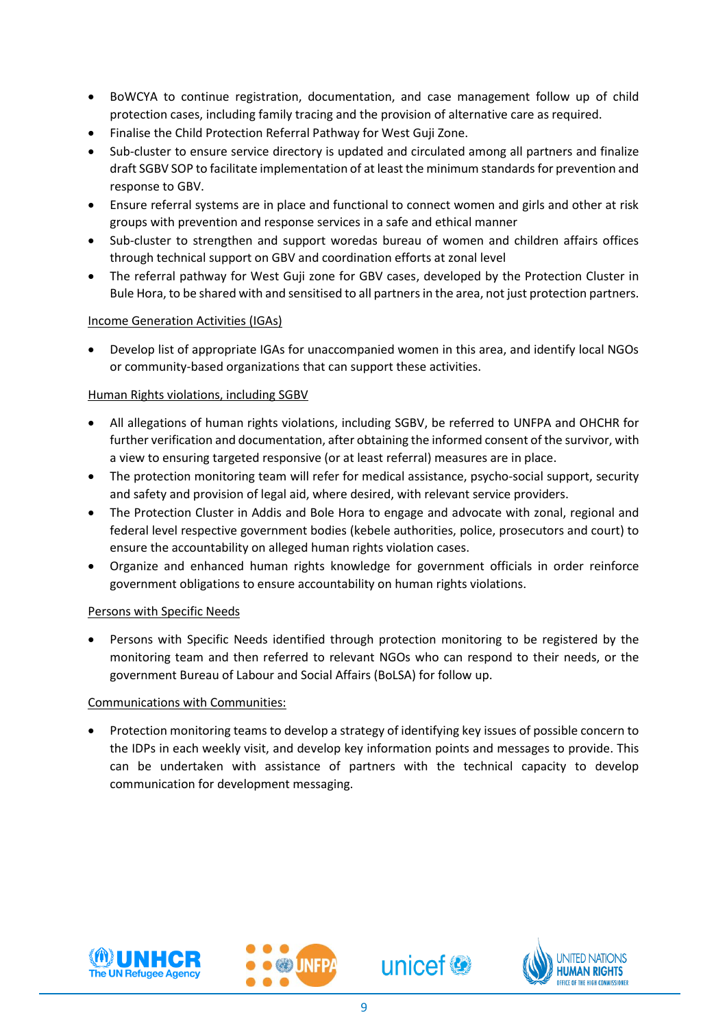- BoWCYA to continue registration, documentation, and case management follow up of child protection cases, including family tracing and the provision of alternative care as required.
- Finalise the Child Protection Referral Pathway for West Guji Zone.
- Sub-cluster to ensure service directory is updated and circulated among all partners and finalize draft SGBV SOP to facilitate implementation of at least the minimum standards for prevention and response to GBV.
- Ensure referral systems are in place and functional to connect women and girls and other at risk groups with prevention and response services in a safe and ethical manner
- Sub-cluster to strengthen and support woredas bureau of women and children affairs offices through technical support on GBV and coordination efforts at zonal level
- The referral pathway for West Guji zone for GBV cases, developed by the Protection Cluster in Bule Hora, to be shared with and sensitised to all partners in the area, not just protection partners.

#### Income Generation Activities (IGAs)

 Develop list of appropriate IGAs for unaccompanied women in this area, and identify local NGOs or community-based organizations that can support these activities.

#### Human Rights violations, including SGBV

- All allegations of human rights violations, including SGBV, be referred to UNFPA and OHCHR for further verification and documentation, after obtaining the informed consent of the survivor, with a view to ensuring targeted responsive (or at least referral) measures are in place.
- The protection monitoring team will refer for medical assistance, psycho-social support, security and safety and provision of legal aid, where desired, with relevant service providers.
- The Protection Cluster in Addis and Bole Hora to engage and advocate with zonal, regional and federal level respective government bodies (kebele authorities, police, prosecutors and court) to ensure the accountability on alleged human rights violation cases.
- Organize and enhanced human rights knowledge for government officials in order reinforce government obligations to ensure accountability on human rights violations.

#### Persons with Specific Needs

 Persons with Specific Needs identified through protection monitoring to be registered by the monitoring team and then referred to relevant NGOs who can respond to their needs, or the government Bureau of Labour and Social Affairs (BoLSA) for follow up.

#### Communications with Communities:

 Protection monitoring teams to develop a strategy of identifying key issues of possible concern to the IDPs in each weekly visit, and develop key information points and messages to provide. This can be undertaken with assistance of partners with the technical capacity to develop communication for development messaging.





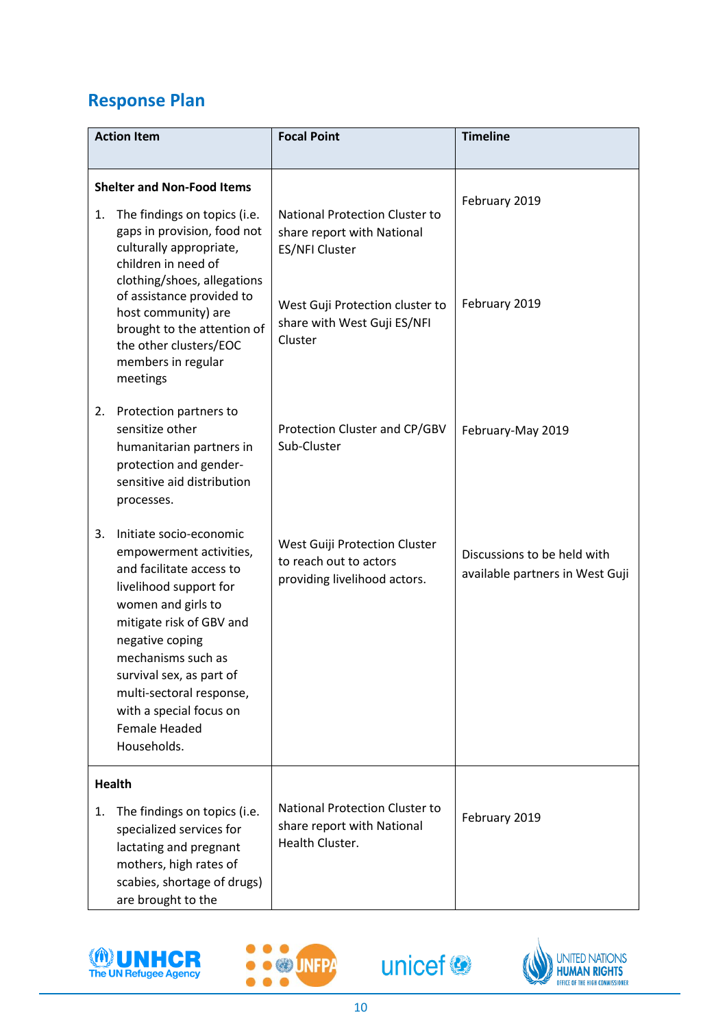# **Response Plan**

| <b>Action Item</b>                |                                                                                                                                                                                                                                                                                                                               | <b>Focal Point</b>                                                                                                                                                        | <b>Timeline</b>                                                |
|-----------------------------------|-------------------------------------------------------------------------------------------------------------------------------------------------------------------------------------------------------------------------------------------------------------------------------------------------------------------------------|---------------------------------------------------------------------------------------------------------------------------------------------------------------------------|----------------------------------------------------------------|
| <b>Shelter and Non-Food Items</b> |                                                                                                                                                                                                                                                                                                                               |                                                                                                                                                                           | February 2019                                                  |
| 1.                                | The findings on topics (i.e.<br>gaps in provision, food not<br>culturally appropriate,<br>children in need of<br>clothing/shoes, allegations<br>of assistance provided to<br>host community) are<br>brought to the attention of<br>the other clusters/EOC<br>members in regular<br>meetings                                   | <b>National Protection Cluster to</b><br>share report with National<br><b>ES/NFI Cluster</b><br>West Guji Protection cluster to<br>share with West Guji ES/NFI<br>Cluster | February 2019                                                  |
| 2.                                | Protection partners to<br>sensitize other<br>humanitarian partners in<br>protection and gender-<br>sensitive aid distribution<br>processes.                                                                                                                                                                                   | Protection Cluster and CP/GBV<br>Sub-Cluster                                                                                                                              | February-May 2019                                              |
| 3.                                | Initiate socio-economic<br>empowerment activities,<br>and facilitate access to<br>livelihood support for<br>women and girls to<br>mitigate risk of GBV and<br>negative coping<br>mechanisms such as<br>survival sex, as part of<br>multi-sectoral response,<br>with a special focus on<br><b>Female Headed</b><br>Households. | West Guiji Protection Cluster<br>to reach out to actors<br>providing livelihood actors.                                                                                   | Discussions to be held with<br>available partners in West Guji |
| 1.                                | <b>Health</b><br>The findings on topics (i.e.<br>specialized services for<br>lactating and pregnant<br>mothers, high rates of<br>scabies, shortage of drugs)<br>are brought to the                                                                                                                                            | <b>National Protection Cluster to</b><br>share report with National<br>Health Cluster.                                                                                    | February 2019                                                  |







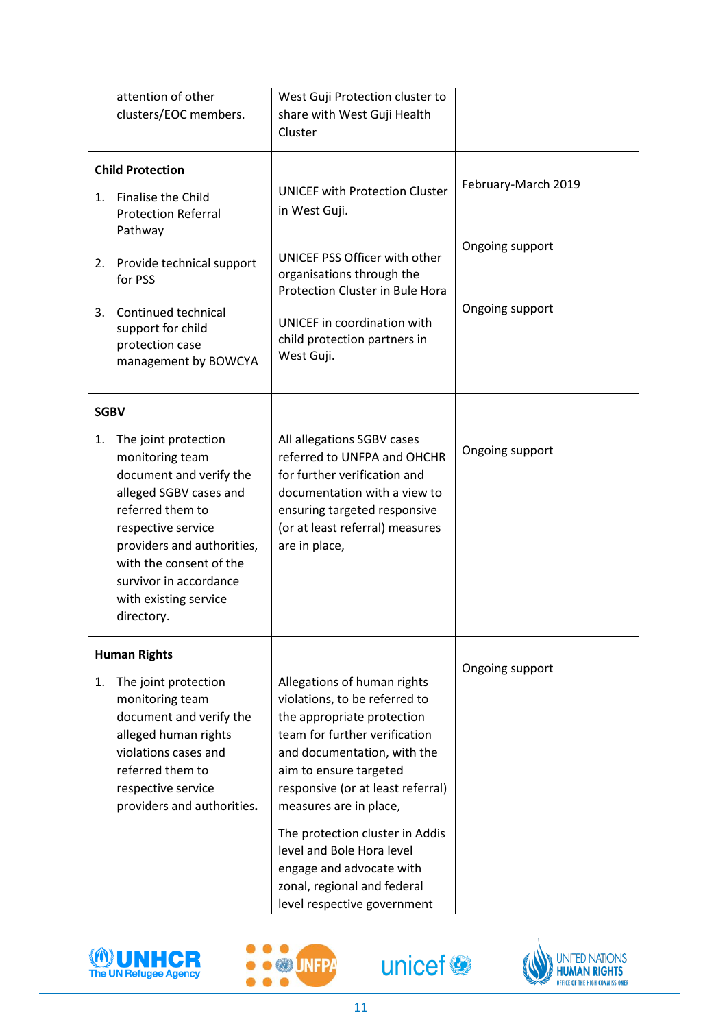|                   | attention of other<br>clusters/EOC members.                                                                                                                                                                                                                      | West Guji Protection cluster to<br>share with West Guji Health<br>Cluster                                                                                                                                                                                                                                                                                                                                     |                                                           |
|-------------------|------------------------------------------------------------------------------------------------------------------------------------------------------------------------------------------------------------------------------------------------------------------|---------------------------------------------------------------------------------------------------------------------------------------------------------------------------------------------------------------------------------------------------------------------------------------------------------------------------------------------------------------------------------------------------------------|-----------------------------------------------------------|
| 1.<br>2.<br>3.    | <b>Child Protection</b><br>Finalise the Child<br><b>Protection Referral</b><br>Pathway<br>Provide technical support<br>for PSS<br>Continued technical<br>support for child<br>protection case<br>management by BOWCYA                                            | <b>UNICEF with Protection Cluster</b><br>in West Guji.<br>UNICEF PSS Officer with other<br>organisations through the<br>Protection Cluster in Bule Hora<br>UNICEF in coordination with<br>child protection partners in<br>West Guji.                                                                                                                                                                          | February-March 2019<br>Ongoing support<br>Ongoing support |
| <b>SGBV</b><br>1. | The joint protection<br>monitoring team<br>document and verify the<br>alleged SGBV cases and<br>referred them to<br>respective service<br>providers and authorities,<br>with the consent of the<br>survivor in accordance<br>with existing service<br>directory. | All allegations SGBV cases<br>referred to UNFPA and OHCHR<br>for further verification and<br>documentation with a view to<br>ensuring targeted responsive<br>(or at least referral) measures<br>are in place,                                                                                                                                                                                                 | Ongoing support                                           |
| 1.                | <b>Human Rights</b><br>The joint protection<br>monitoring team<br>document and verify the<br>alleged human rights<br>violations cases and<br>referred them to<br>respective service<br>providers and authorities.                                                | Allegations of human rights<br>violations, to be referred to<br>the appropriate protection<br>team for further verification<br>and documentation, with the<br>aim to ensure targeted<br>responsive (or at least referral)<br>measures are in place,<br>The protection cluster in Addis<br>level and Bole Hora level<br>engage and advocate with<br>zonal, regional and federal<br>level respective government | Ongoing support                                           |







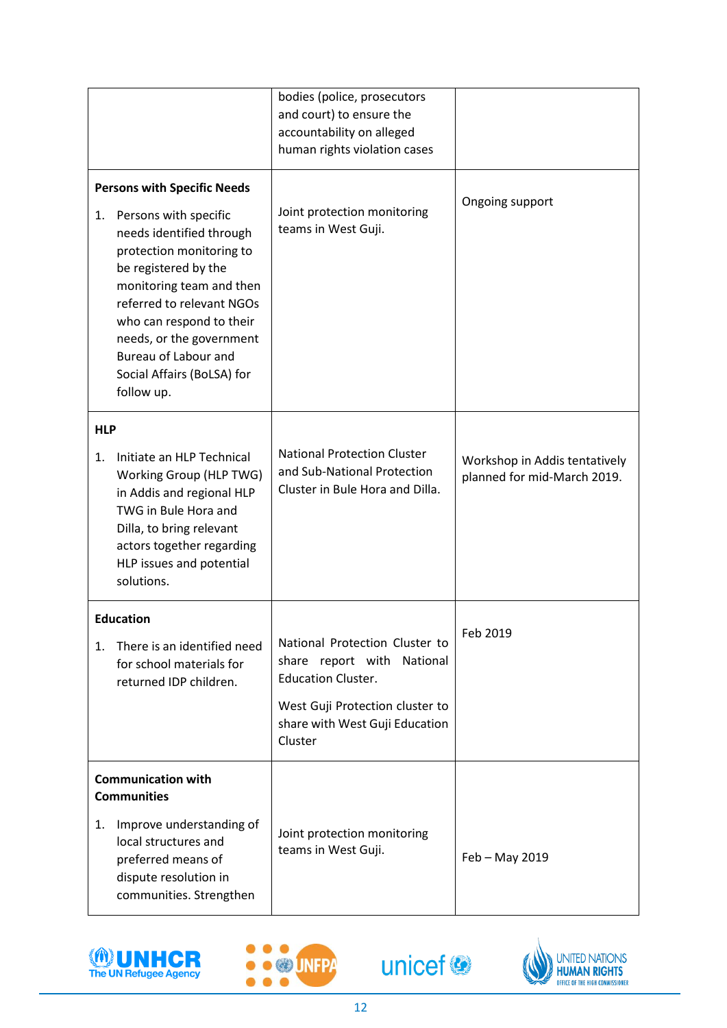|                  |                                                                                                                                                                                                                                                                                                                                  | bodies (police, prosecutors<br>and court) to ensure the<br>accountability on alleged<br>human rights violation cases                                                      |                                                              |
|------------------|----------------------------------------------------------------------------------------------------------------------------------------------------------------------------------------------------------------------------------------------------------------------------------------------------------------------------------|---------------------------------------------------------------------------------------------------------------------------------------------------------------------------|--------------------------------------------------------------|
| 1.               | <b>Persons with Specific Needs</b><br>Persons with specific<br>needs identified through<br>protection monitoring to<br>be registered by the<br>monitoring team and then<br>referred to relevant NGOs<br>who can respond to their<br>needs, or the government<br>Bureau of Labour and<br>Social Affairs (BoLSA) for<br>follow up. | Joint protection monitoring<br>teams in West Guji.                                                                                                                        | Ongoing support                                              |
| <b>HLP</b><br>1. | Initiate an HLP Technical<br>Working Group (HLP TWG)<br>in Addis and regional HLP<br>TWG in Bule Hora and<br>Dilla, to bring relevant<br>actors together regarding<br>HLP issues and potential<br>solutions.                                                                                                                     | <b>National Protection Cluster</b><br>and Sub-National Protection<br>Cluster in Bule Hora and Dilla.                                                                      | Workshop in Addis tentatively<br>planned for mid-March 2019. |
| 1.               | <b>Education</b><br>There is an identified need<br>for school materials for<br>returned IDP children.                                                                                                                                                                                                                            | National Protection Cluster to<br>share report with National<br><b>Education Cluster.</b><br>West Guji Protection cluster to<br>share with West Guji Education<br>Cluster | Feb 2019                                                     |
| 1.               | <b>Communication with</b><br><b>Communities</b><br>Improve understanding of<br>local structures and<br>preferred means of<br>dispute resolution in<br>communities. Strengthen                                                                                                                                                    | Joint protection monitoring<br>teams in West Guji.                                                                                                                        | Feb - May 2019                                               |